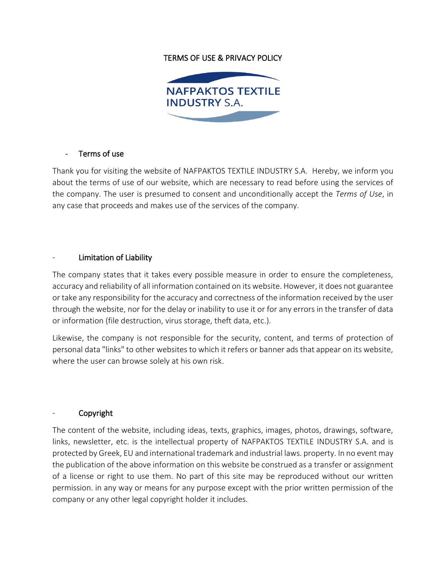## TERMS OF USE & PRIVACY POLICY



#### Terms of use

Thank you for visiting the website of NAFPAKTOS TEXTILE INDUSTRY S.A. Hereby, we inform you about the terms of use of our website, which are necessary to read before using the services of the company. The user is presumed to consent and unconditionally accept the *Terms of Use*, in any case that proceeds and makes use of the services of the company.

#### Limitation of Liability

The company states that it takes every possible measure in order to ensure the completeness, accuracy and reliability of all information contained on its website. However, it does not guarantee or take any responsibility for the accuracy and correctness of the information received by the user through the website, nor for the delay or inability to use it or for any errors in the transfer of data or information (file destruction, virus storage, theft data, etc.).

Likewise, the company is not responsible for the security, content, and terms of protection of personal data "links" to other websites to which it refers or banner ads that appear on its website, where the user can browse solely at his own risk.

## - Copyright

The content of the website, including ideas, texts, graphics, images, photos, drawings, software, links, newsletter, etc. is the intellectual property of NAFPAKTOS TEXTILE INDUSTRY S.A. and is protected by Greek, EU and international trademark and industrial laws. property. In no event may the publication of the above information on this website be construed as a transfer or assignment of a license or right to use them. No part of this site may be reproduced without our written permission. in any way or means for any purpose except with the prior written permission of the company or any other legal copyright holder it includes.